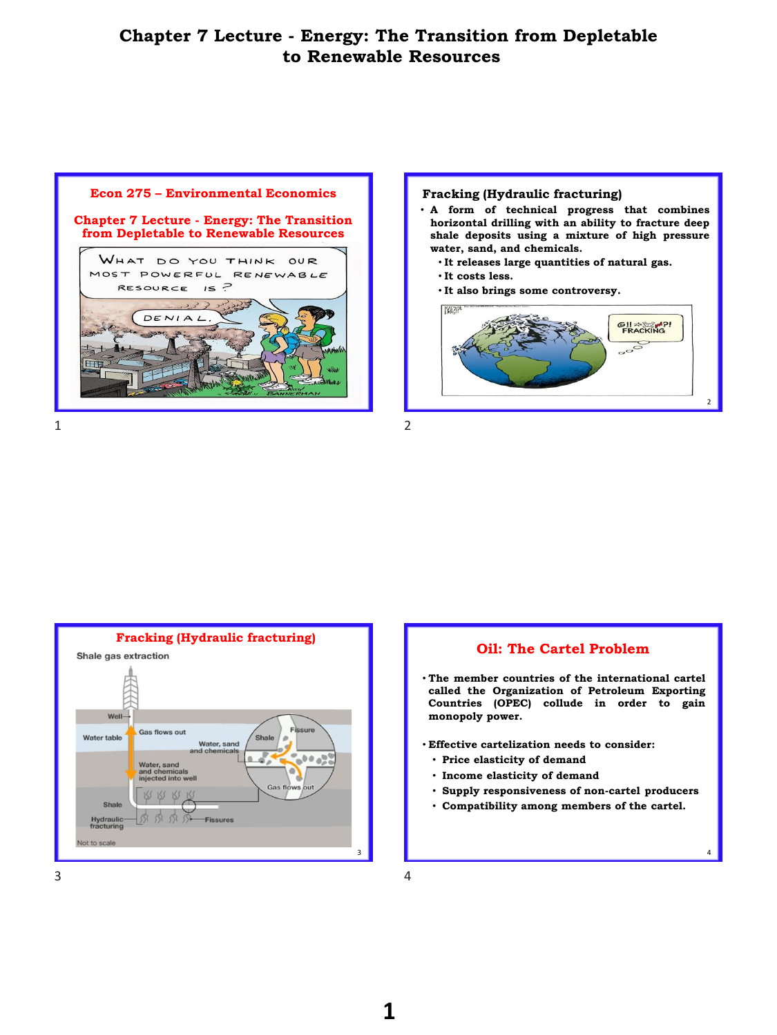

1 2



- **A form of technical progress that combines horizontal drilling with an ability to fracture deep shale deposits using a mixture of high pressure water, sand, and chemicals.**
	- **It releases large quantities of natural gas.**
	- **It costs less.**
	- **It also brings some controversy.**





## **Oil: The Cartel Problem**

- **The member countries of the international cartel called the Organization of Petroleum Exporting Countries (OPEC) collude in order to gain monopoly power.**
- **Effective cartelization needs to consider:**
	- **Price elasticity of demand**
	- **Income elasticity of demand**
	- **Supply responsiveness of non-cartel producers**

4

• **Compatibility among members of the cartel.**

 $3 \t 4$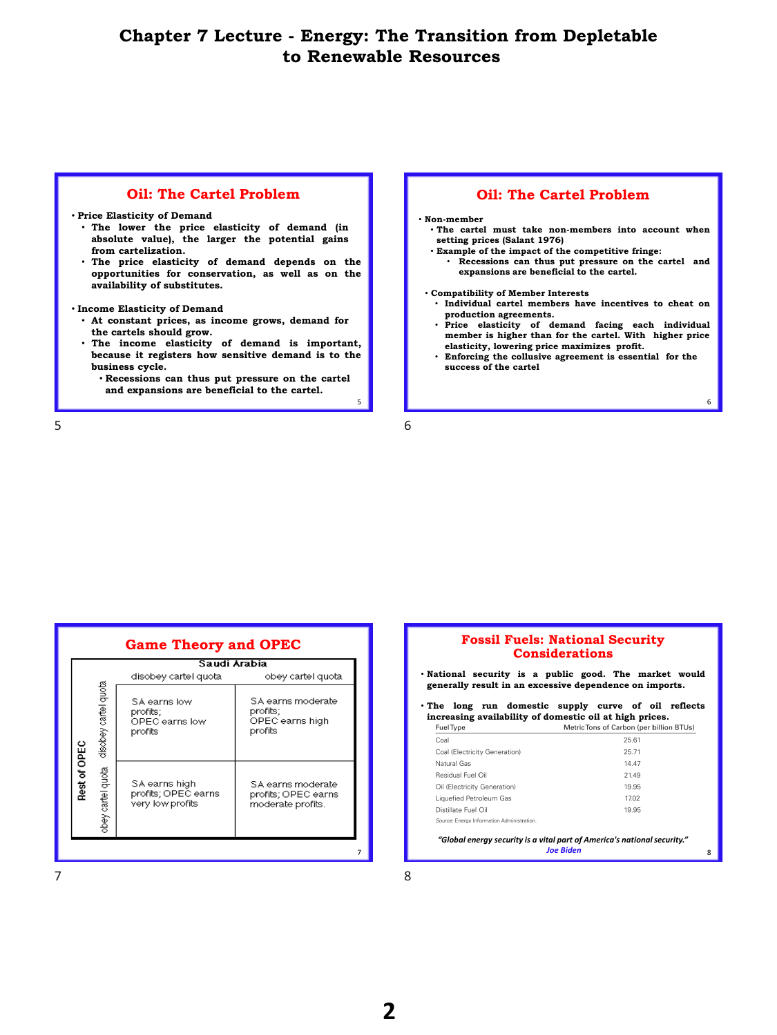## **Oil: The Cartel Problem**

#### • **Price Elasticity of Demand**

- **The lower the price elasticity of demand (in absolute value), the larger the potential gains from cartelization.**
- **The price elasticity of demand depends on the opportunities for conservation, as well as on the availability of substitutes.**

#### • **Income Elasticity of Demand**

- **At constant prices, as income grows, demand for the cartels should grow.**
- **The income elasticity of demand is important, because it registers how sensitive demand is to the business cycle.**
	- **Recessions can thus put pressure on the cartel and expansions are beneficial to the cartel.**

 $5\overline{6}$ 

## **Oil: The Cartel Problem**

#### • **Non-member**

- **The cartel must take non-members into account when setting prices (Salant 1976)**
- **Example of the impact of the competitive fringe:**
	- **Recessions can thus put pressure on the cartel and expansions are beneficial to the cartel.**
- **Compatibility of Member Interests**
	- **Individual cartel members have incentives to cheat on production agreements.**
	- **Price elasticity of demand facing each individual member is higher than for the cartel. With higher price elasticity, lowering price maximizes profit.**

6

8

• **Enforcing the collusive agreement is essential for the success of the cartel**

5

|              |                      | Saudi Arabia                                             |                                                               |  |
|--------------|----------------------|----------------------------------------------------------|---------------------------------------------------------------|--|
|              |                      | disobey cartel quota.                                    | obey cartel quota                                             |  |
|              | disobey cartel quota | SA earns low<br>profits;<br>OPEC earns low<br>profits    | SA earns moderate<br>profits;<br>OPEC earns high<br>profits   |  |
| Rest of OPEC | obey cartel quota    | SA earns high<br>profits; OPEC earns<br>very low profits | SA earns moderate<br>profits; OPEC earns<br>moderate profits. |  |

## **Fossil Fuels: National Security Considerations**

- **National security is a public good. The market would generally result in an excessive dependence on imports.**
- **The long run domestic supply curve of oil reflects increasing availability of domestic oil at high prices.** Fuel Tune

| 1 GCI 1 A D.C                              | <u>INCLINIO IOIIS UI CAIDUILIDEI DIIIUILD LUSI</u> |
|--------------------------------------------|----------------------------------------------------|
| Coal                                       | 25.61                                              |
| Coal (Electricity Generation)              | 25.71                                              |
| Natural Gas                                | 14.47                                              |
| Residual Fuel Oil                          | 21.49                                              |
| Oil (Electricity Generation)               | 19.95                                              |
| Liquefied Petroleum Gas                    | 17.02                                              |
| Distillate Fuel Oil                        | 19.95                                              |
| Source: Energy Information Administration. |                                                    |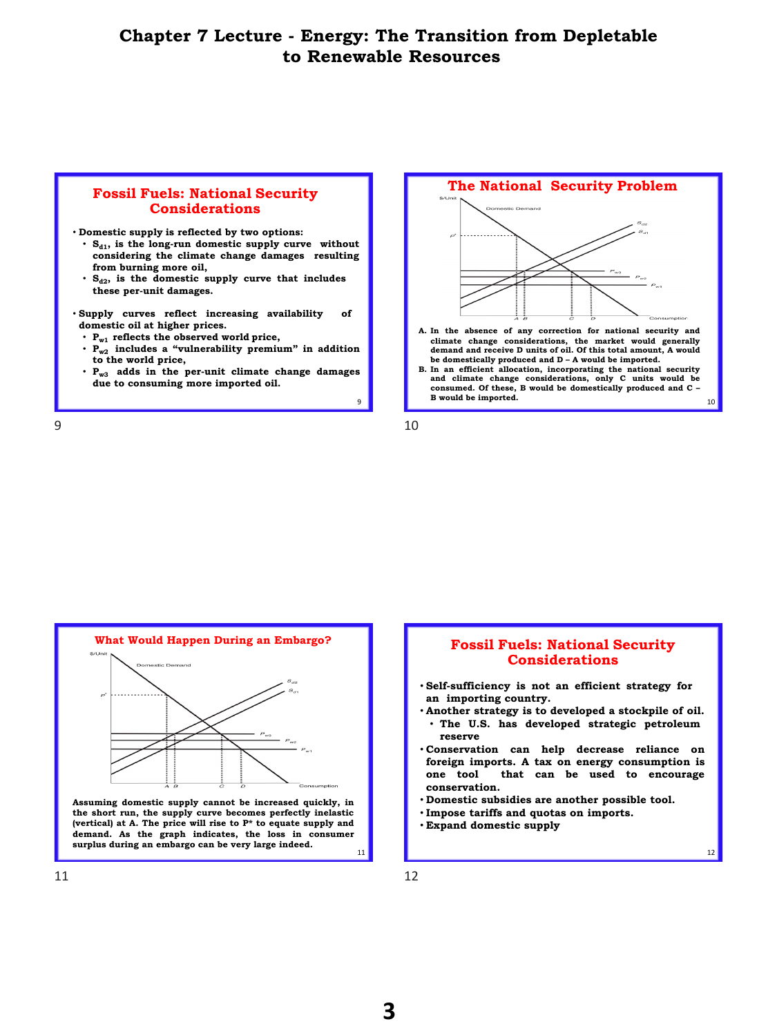#### **Fossil Fuels: National Security Considerations**

- **Domestic supply is reflected by two options:**
	- **Sd1, is the long-run domestic supply curve without considering the climate change damages resulting from burning more oil,**
	- **Sd2, is the domestic supply curve that includes these per-unit damages.**
- **Supply curves reflect increasing availability of domestic oil at higher prices.**
	- **Pw1 reflects the observed world price,**
	- **Pw2 includes a "vulnerability premium" in addition to the world price,**
	- **Pw3 adds in the per-unit climate change damages due to consuming more imported oil.**



- **climate change considerations, the market would generally demand and receive D units of oil. Of this total amount, A would** be domestically produced and D - A would be imported.<br>B. In an efficient allocation, incorporating the national security
- **and climate change considerations, only C units would be consumed. Of these, B would be domestically produced and C – B would be imported.**

10

12

 $9 \hspace{2.5cm} 10$ 





- **Self-sufficiency is not an efficient strategy for an importing country.**
- **Another strategy is to developed a stockpile of oil.** • **The U.S. has developed strategic petroleum reserve**
- **Conservation can help decrease reliance on foreign imports. A tax on energy consumption is one tool that can be used to encourage conservation.**
- **Domestic subsidies are another possible tool.**
- **Impose tariffs and quotas on imports.**
- **Expand domestic supply**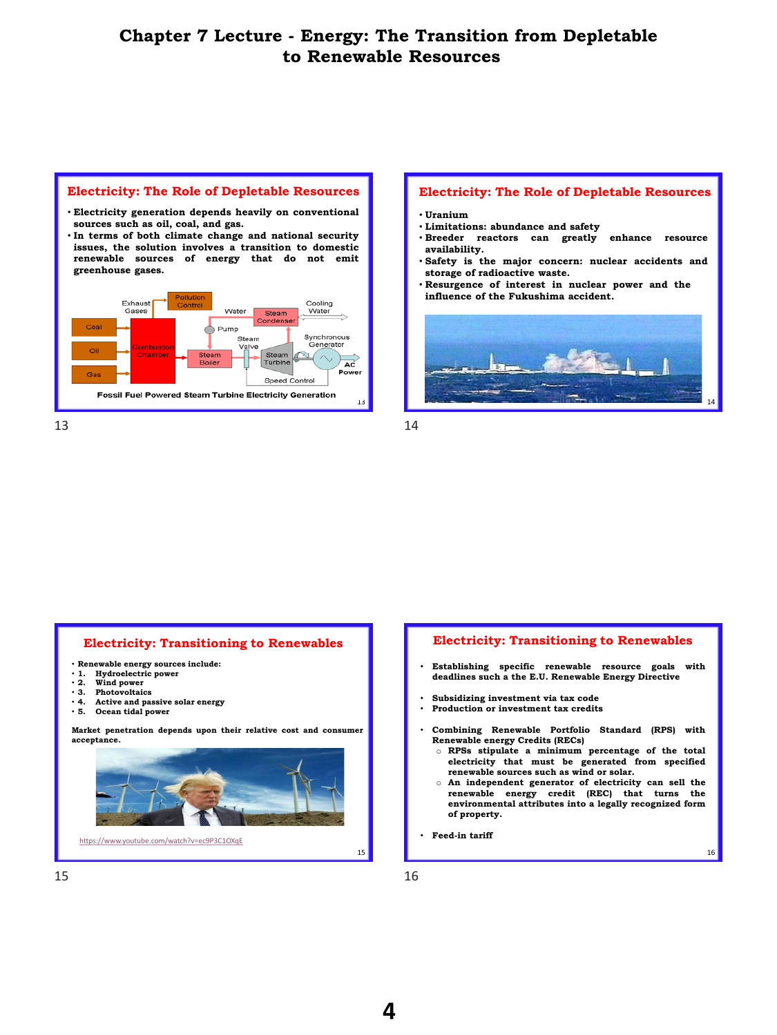

#### **Electricity: The Role of Depletable Resources**

- **Uranium**
- **Limitations: abundance and safety**
- **Breeder reactors can greatly enhance resource availability.**
- **Safety is the major concern: nuclear accidents and storage of radioactive waste.**
- **Resurgence of interest in nuclear power and the influence of the Fukushima accident.**



## **Electricity: Transitioning to Renewables**

- **Renewable energy sources include:**
- **1. Hydroelectric power**
- **2. Wind power**
- **3. Photovoltaics** • **4. Active and passive solar energy**
- **5. Ocean tidal power**

**Market penetration depends upon their relative cost and consumer acceptance.**



## **Electricity: Transitioning to Renewables**

- **Establishing specific renewable resource goals with deadlines such a the E.U. Renewable Energy Directive**
- **Subsidizing investment via tax code**
- **Production or investment tax credits**
- **Combining Renewable Portfolio Standard (RPS) with Renewable energy Credits (RECs)**
	- o **RPSs stipulate a minimum percentage of the total electricity that must be generated from specified renewable sources such as wind or solar.**
	- o **An independent generator of electricity can sell the renewable energy credit (REC) that turns the environmental attributes into a legally recognized form of property.**

16

• **Feed-in tariff**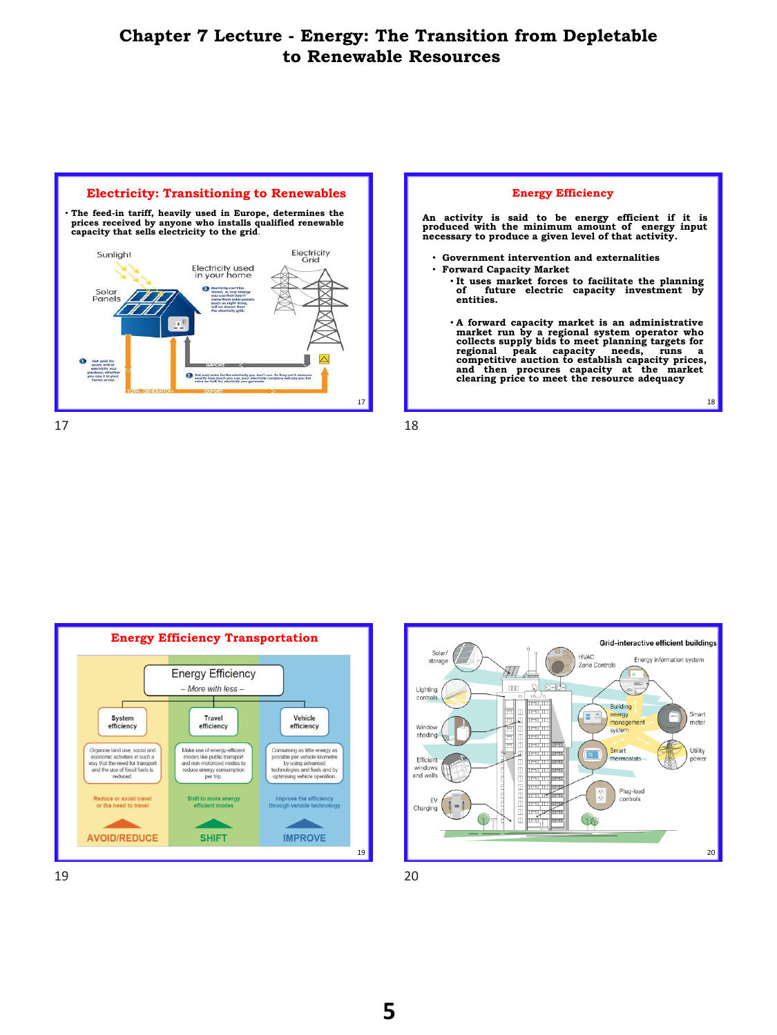



**Energy Efficiency Transportation Energy Efficiency**  $-More$  with less  $-$ System Travel Vehicle efficiency efficiency efficiency Make use of energy-efficient<br>modes like public transport<br>and non-motorised modes to Organise land use, social and Consuming as little energy as<br>possible per vehicle kilometre economic activities in such a<br>way that the need for transport<br>and the use of fossil fuels is<br>reduced. by using advanced<br>technologies and fuels and by<br>optimising vehicle operation. reduce energy consumption<br>per trip.

Shift to more energy<br>efficient modes

**SHIFT** 



19

Improve the efficiency<br>through vehicle technology

**IMPROVE** 

19 20

Reduce or avoid travel<br>or the need to travel

**AVOID/REDUCE**